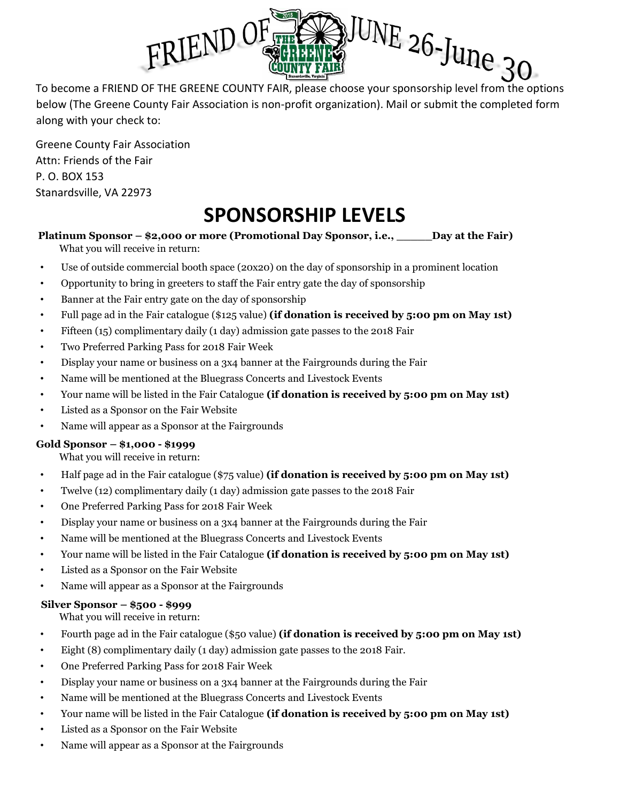

below (The Greene County Fair Association is non-profit organization). Mail or submit the completed form along with your check to:

Greene County Fair Association Attn: Friends of the Fair P. O. BOX 153 Stanardsville, VA 22973

## **SPONSORSHIP LEVELS**

#### **Platinum Sponsor – \$2,000 or more (Promotional Day Sponsor, i.e., \_\_\_\_\_Day at the Fair)** What you will receive in return:

- Use of outside commercial booth space (20x20) on the day of sponsorship in a prominent location
- Opportunity to bring in greeters to staff the Fair entry gate the day of sponsorship
- Banner at the Fair entry gate on the day of sponsorship
- Full page ad in the Fair catalogue (\$125 value) **(if donation is received by 5:00 pm on May 1st)**
- Fifteen (15) complimentary daily (1 day) admission gate passes to the 2018 Fair
- Two Preferred Parking Pass for 2018 Fair Week
- Display your name or business on a 3x4 banner at the Fairgrounds during the Fair
- Name will be mentioned at the Bluegrass Concerts and Livestock Events
- Your name will be listed in the Fair Catalogue **(if donation is received by 5:00 pm on May 1st)**
- Listed as a Sponsor on the Fair Website
- Name will appear as a Sponsor at the Fairgrounds

#### **Gold Sponsor – \$1,000 - \$1999**

What you will receive in return:

- Half page ad in the Fair catalogue (\$75 value) **(if donation is received by 5:00 pm on May 1st)**
- Twelve (12) complimentary daily (1 day) admission gate passes to the 2018 Fair
- One Preferred Parking Pass for 2018 Fair Week
- Display your name or business on a 3x4 banner at the Fairgrounds during the Fair
- Name will be mentioned at the Bluegrass Concerts and Livestock Events
- Your name will be listed in the Fair Catalogue **(if donation is received by 5:00 pm on May 1st)**
- Listed as a Sponsor on the Fair Website
- Name will appear as a Sponsor at the Fairgrounds

#### **Silver Sponsor – \$500 - \$999**

What you will receive in return:

- Fourth page ad in the Fair catalogue (\$50 value) **(if donation is received by 5:00 pm on May 1st)**
- Eight (8) complimentary daily (1 day) admission gate passes to the 2018 Fair.
- One Preferred Parking Pass for 2018 Fair Week
- Display your name or business on a 3x4 banner at the Fairgrounds during the Fair
- Name will be mentioned at the Bluegrass Concerts and Livestock Events
- Your name will be listed in the Fair Catalogue **(if donation is received by 5:00 pm on May 1st)**
- Listed as a Sponsor on the Fair Website
- Name will appear as a Sponsor at the Fairgrounds